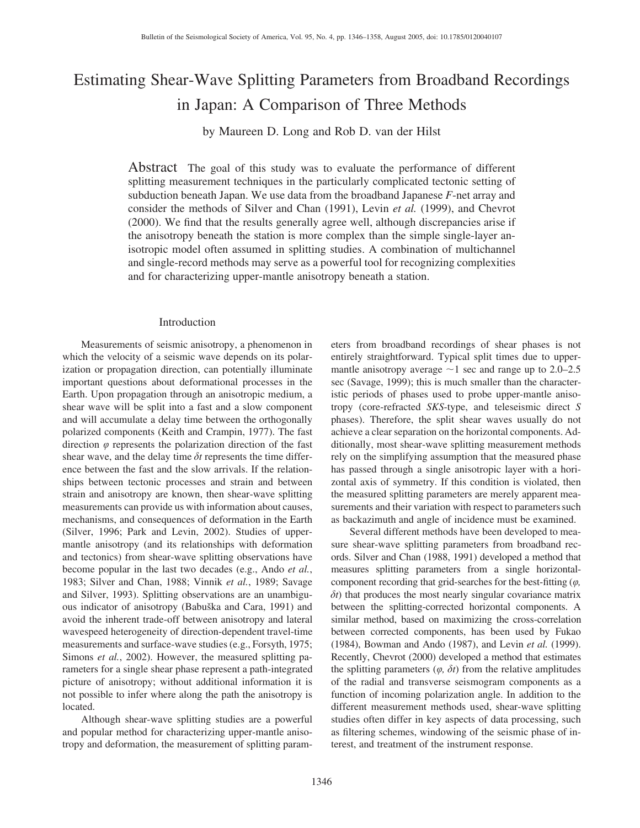# Estimating Shear-Wave Splitting Parameters from Broadband Recordings in Japan: A Comparison of Three Methods

by Maureen D. Long and Rob D. van der Hilst

Abstract The goal of this study was to evaluate the performance of different splitting measurement techniques in the particularly complicated tectonic setting of subduction beneath Japan. We use data from the broadband Japanese *F*-net array and consider the methods of Silver and Chan (1991), Levin *et al.* (1999), and Chevrot (2000). We find that the results generally agree well, although discrepancies arise if the anisotropy beneath the station is more complex than the simple single-layer anisotropic model often assumed in splitting studies. A combination of multichannel and single-record methods may serve as a powerful tool for recognizing complexities and for characterizing upper-mantle anisotropy beneath a station.

#### Introduction

Measurements of seismic anisotropy, a phenomenon in which the velocity of a seismic wave depends on its polarization or propagation direction, can potentially illuminate important questions about deformational processes in the Earth. Upon propagation through an anisotropic medium, a shear wave will be split into a fast and a slow component and will accumulate a delay time between the orthogonally polarized components (Keith and Crampin, 1977). The fast direction  $\varphi$  represents the polarization direction of the fast shear wave, and the delay time  $\delta t$  represents the time difference between the fast and the slow arrivals. If the relationships between tectonic processes and strain and between strain and anisotropy are known, then shear-wave splitting measurements can provide us with information about causes, mechanisms, and consequences of deformation in the Earth (Silver, 1996; Park and Levin, 2002). Studies of uppermantle anisotropy (and its relationships with deformation and tectonics) from shear-wave splitting observations have become popular in the last two decades (e.g., Ando *et al.*, 1983; Silver and Chan, 1988; Vinnik *et al.*, 1989; Savage and Silver, 1993). Splitting observations are an unambiguous indicator of anisotropy (Babuška and Cara, 1991) and avoid the inherent trade-off between anisotropy and lateral wavespeed heterogeneity of direction-dependent travel-time measurements and surface-wave studies (e.g., Forsyth, 1975; Simons *et al.*, 2002). However, the measured splitting parameters for a single shear phase represent a path-integrated picture of anisotropy; without additional information it is not possible to infer where along the path the anisotropy is located.

Although shear-wave splitting studies are a powerful and popular method for characterizing upper-mantle anisotropy and deformation, the measurement of splitting parameters from broadband recordings of shear phases is not entirely straightforward. Typical split times due to uppermantle anisotropy average  $\sim$ 1 sec and range up to 2.0–2.5 sec (Savage, 1999); this is much smaller than the characteristic periods of phases used to probe upper-mantle anisotropy (core-refracted *SKS*-type, and teleseismic direct *S* phases). Therefore, the split shear waves usually do not achieve a clear separation on the horizontal components. Additionally, most shear-wave splitting measurement methods rely on the simplifying assumption that the measured phase has passed through a single anisotropic layer with a horizontal axis of symmetry. If this condition is violated, then the measured splitting parameters are merely apparent measurements and their variation with respect to parameters such as backazimuth and angle of incidence must be examined.

Several different methods have been developed to measure shear-wave splitting parameters from broadband records. Silver and Chan (1988, 1991) developed a method that measures splitting parameters from a single horizontalcomponent recording that grid-searches for the best-fitting (*u,*  $\delta t$ ) that produces the most nearly singular covariance matrix between the splitting-corrected horizontal components. A similar method, based on maximizing the cross-correlation between corrected components, has been used by Fukao (1984), Bowman and Ando (1987), and Levin *et al.* (1999). Recently, Chevrot (2000) developed a method that estimates the splitting parameters  $(\varphi, \delta t)$  from the relative amplitudes of the radial and transverse seismogram components as a function of incoming polarization angle. In addition to the different measurement methods used, shear-wave splitting studies often differ in key aspects of data processing, such as filtering schemes, windowing of the seismic phase of interest, and treatment of the instrument response.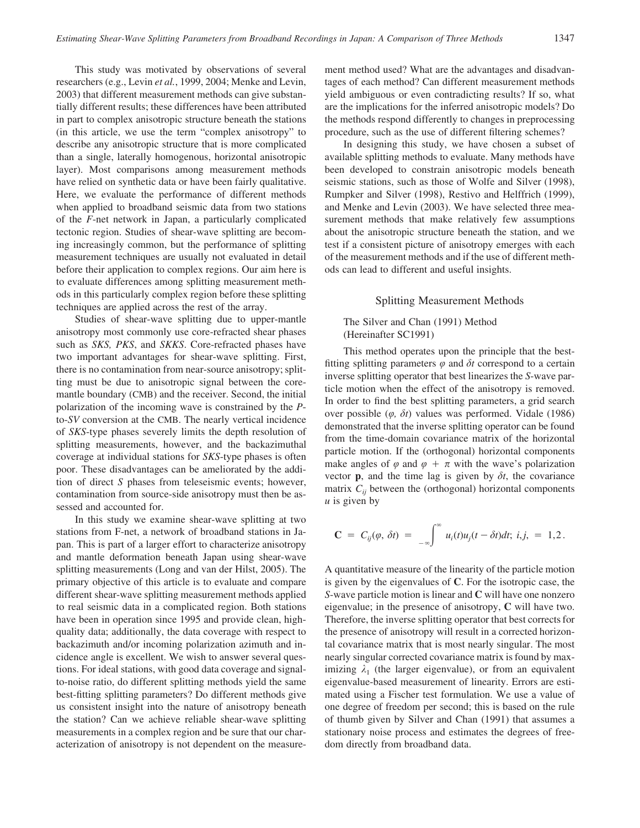This study was motivated by observations of several researchers (e.g., Levin *et al.*, 1999, 2004; Menke and Levin, 2003) that different measurement methods can give substantially different results; these differences have been attributed in part to complex anisotropic structure beneath the stations (in this article, we use the term "complex anisotropy" to describe any anisotropic structure that is more complicated than a single, laterally homogenous, horizontal anisotropic layer). Most comparisons among measurement methods have relied on synthetic data or have been fairly qualitative. Here, we evaluate the performance of different methods when applied to broadband seismic data from two stations of the *F*-net network in Japan, a particularly complicated tectonic region. Studies of shear-wave splitting are becoming increasingly common, but the performance of splitting measurement techniques are usually not evaluated in detail before their application to complex regions. Our aim here is to evaluate differences among splitting measurement methods in this particularly complex region before these splitting techniques are applied across the rest of the array.

Studies of shear-wave splitting due to upper-mantle anisotropy most commonly use core-refracted shear phases such as *SKS, PKS*, and *SKKS*. Core-refracted phases have two important advantages for shear-wave splitting. First, there is no contamination from near-source anisotropy; splitting must be due to anisotropic signal between the coremantle boundary (CMB) and the receiver. Second, the initial polarization of the incoming wave is constrained by the *P*to-*SV* conversion at the CMB. The nearly vertical incidence of *SKS*-type phases severely limits the depth resolution of splitting measurements, however, and the backazimuthal coverage at individual stations for *SKS*-type phases is often poor. These disadvantages can be ameliorated by the addition of direct *S* phases from teleseismic events; however, contamination from source-side anisotropy must then be assessed and accounted for.

In this study we examine shear-wave splitting at two stations from F-net, a network of broadband stations in Japan. This is part of a larger effort to characterize anisotropy and mantle deformation beneath Japan using shear-wave splitting measurements (Long and van der Hilst, 2005). The primary objective of this article is to evaluate and compare different shear-wave splitting measurement methods applied to real seismic data in a complicated region. Both stations have been in operation since 1995 and provide clean, highquality data; additionally, the data coverage with respect to backazimuth and/or incoming polarization azimuth and incidence angle is excellent. We wish to answer several questions. For ideal stations, with good data coverage and signalto-noise ratio, do different splitting methods yield the same best-fitting splitting parameters? Do different methods give us consistent insight into the nature of anisotropy beneath the station? Can we achieve reliable shear-wave splitting measurements in a complex region and be sure that our characterization of anisotropy is not dependent on the measurement method used? What are the advantages and disadvantages of each method? Can different measurement methods yield ambiguous or even contradicting results? If so, what are the implications for the inferred anisotropic models? Do the methods respond differently to changes in preprocessing procedure, such as the use of different filtering schemes?

In designing this study, we have chosen a subset of available splitting methods to evaluate. Many methods have been developed to constrain anisotropic models beneath seismic stations, such as those of Wolfe and Silver (1998), Rumpker and Silver (1998), Restivo and Helffrich (1999), and Menke and Levin (2003). We have selected three measurement methods that make relatively few assumptions about the anisotropic structure beneath the station, and we test if a consistent picture of anisotropy emerges with each of the measurement methods and if the use of different methods can lead to different and useful insights.

#### Splitting Measurement Methods

The Silver and Chan (1991) Method (Hereinafter SC1991)

This method operates upon the principle that the bestfitting splitting parameters  $\varphi$  and  $\delta t$  correspond to a certain inverse splitting operator that best linearizes the *S*-wave particle motion when the effect of the anisotropy is removed. In order to find the best splitting parameters, a grid search over possible  $(\varphi, \delta t)$  values was performed. Vidale (1986) demonstrated that the inverse splitting operator can be found from the time-domain covariance matrix of the horizontal particle motion. If the (orthogonal) horizontal components make angles of  $\varphi$  and  $\varphi + \pi$  with the wave's polarization vector **p**, and the time lag is given by  $\delta t$ , the covariance matrix  $C_{ii}$  between the (orthogonal) horizontal components *u* is given by

$$
\mathbf{C} = C_{ij}(\varphi, \delta t) = \int_{-\infty}^{\infty} u_i(t) u_j(t - \delta t) dt; i, j, = 1, 2.
$$

A quantitative measure of the linearity of the particle motion is given by the eigenvalues of **C**. For the isotropic case, the *S*-wave particle motion is linear and **C** will have one nonzero eigenvalue; in the presence of anisotropy, **C** will have two. Therefore, the inverse splitting operator that best corrects for the presence of anisotropy will result in a corrected horizontal covariance matrix that is most nearly singular. The most nearly singular corrected covariance matrix is found by maximizing  $\lambda_1$  (the larger eigenvalue), or from an equivalent eigenvalue-based measurement of linearity. Errors are estimated using a Fischer test formulation. We use a value of one degree of freedom per second; this is based on the rule of thumb given by Silver and Chan (1991) that assumes a stationary noise process and estimates the degrees of freedom directly from broadband data.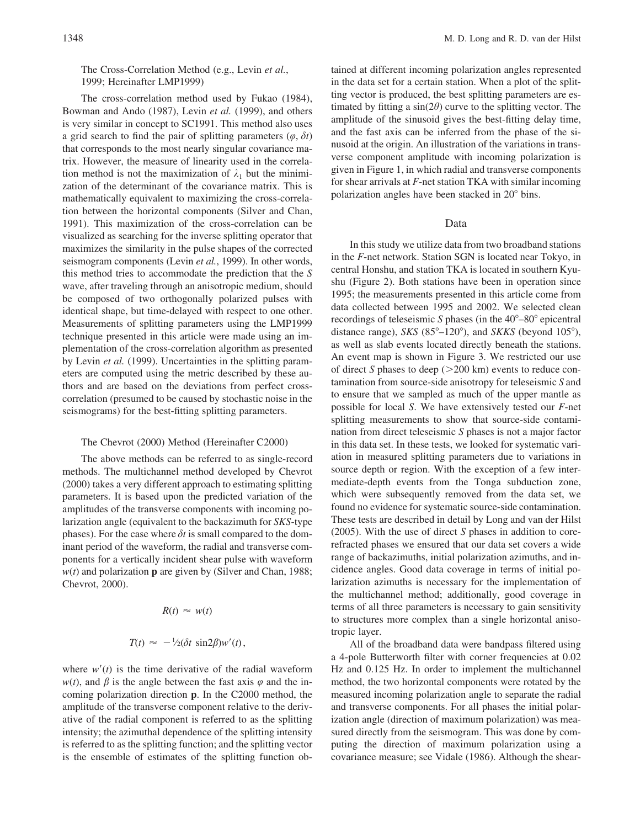# The Cross-Correlation Method (e.g., Levin *et al.*, 1999; Hereinafter LMP1999)

The cross-correlation method used by Fukao (1984), Bowman and Ando (1987), Levin *et al.* (1999), and others is very similar in concept to SC1991. This method also uses a grid search to find the pair of splitting parameters  $(\varphi, \delta t)$ that corresponds to the most nearly singular covariance matrix. However, the measure of linearity used in the correlation method is not the maximization of  $\lambda_1$  but the minimization of the determinant of the covariance matrix. This is mathematically equivalent to maximizing the cross-correlation between the horizontal components (Silver and Chan, 1991). This maximization of the cross-correlation can be visualized as searching for the inverse splitting operator that maximizes the similarity in the pulse shapes of the corrected seismogram components (Levin *et al.*, 1999). In other words, this method tries to accommodate the prediction that the *S* wave, after traveling through an anisotropic medium, should be composed of two orthogonally polarized pulses with identical shape, but time-delayed with respect to one other. Measurements of splitting parameters using the LMP1999 technique presented in this article were made using an implementation of the cross-correlation algorithm as presented by Levin *et al.* (1999). Uncertainties in the splitting parameters are computed using the metric described by these authors and are based on the deviations from perfect crosscorrelation (presumed to be caused by stochastic noise in the seismograms) for the best-fitting splitting parameters.

## The Chevrot (2000) Method (Hereinafter C2000)

The above methods can be referred to as single-record methods. The multichannel method developed by Chevrot (2000) takes a very different approach to estimating splitting parameters. It is based upon the predicted variation of the amplitudes of the transverse components with incoming polarization angle (equivalent to the backazimuth for *SKS*-type phases). For the case where  $\delta t$  is small compared to the dominant period of the waveform, the radial and transverse components for a vertically incident shear pulse with waveform *w*(*t*) and polarization **p** are given by (Silver and Chan, 1988; Chevrot, 2000).

$$
R(t) \approx w(t)
$$

$$
T(t) \approx -\frac{1}{2}(\delta t \sin 2\beta)w'(t),
$$

where  $w'(t)$  is the time derivative of the radial waveform  $w(t)$ , and  $\beta$  is the angle between the fast axis  $\varphi$  and the incoming polarization direction **p**. In the C2000 method, the amplitude of the transverse component relative to the derivative of the radial component is referred to as the splitting intensity; the azimuthal dependence of the splitting intensity is referred to as the splitting function; and the splitting vector is the ensemble of estimates of the splitting function obtained at different incoming polarization angles represented in the data set for a certain station. When a plot of the splitting vector is produced, the best splitting parameters are estimated by fitting a  $sin(2\theta)$  curve to the splitting vector. The amplitude of the sinusoid gives the best-fitting delay time, and the fast axis can be inferred from the phase of the sinusoid at the origin. An illustration of the variations in transverse component amplitude with incoming polarization is given in Figure 1, in which radial and transverse components for shear arrivals at *F*-net station TKA with similar incoming polarization angles have been stacked in 20° bins.

#### Data

In this study we utilize data from two broadband stations in the *F*-net network. Station SGN is located near Tokyo, in central Honshu, and station TKA is located in southern Kyushu (Figure 2). Both stations have been in operation since 1995; the measurements presented in this article come from data collected between 1995 and 2002. We selected clean recordings of teleseismic *S* phases (in the 40<sup>°</sup>–80<sup>°</sup> epicentral distance range), *SKS* (85°–120°), and *SKKS* (beyond 105°), as well as slab events located directly beneath the stations. An event map is shown in Figure 3. We restricted our use of direct *S* phases to deep ( $>200$  km) events to reduce contamination from source-side anisotropy for teleseismic *S* and to ensure that we sampled as much of the upper mantle as possible for local *S*. We have extensively tested our *F*-net splitting measurements to show that source-side contamination from direct teleseismic *S* phases is not a major factor in this data set. In these tests, we looked for systematic variation in measured splitting parameters due to variations in source depth or region. With the exception of a few intermediate-depth events from the Tonga subduction zone, which were subsequently removed from the data set, we found no evidence for systematic source-side contamination. These tests are described in detail by Long and van der Hilst (2005). With the use of direct *S* phases in addition to corerefracted phases we ensured that our data set covers a wide range of backazimuths, initial polarization azimuths, and incidence angles. Good data coverage in terms of initial polarization azimuths is necessary for the implementation of the multichannel method; additionally, good coverage in terms of all three parameters is necessary to gain sensitivity to structures more complex than a single horizontal anisotropic layer.

All of the broadband data were bandpass filtered using a 4-pole Butterworth filter with corner frequencies at 0.02 Hz and 0.125 Hz. In order to implement the multichannel method, the two horizontal components were rotated by the measured incoming polarization angle to separate the radial and transverse components. For all phases the initial polarization angle (direction of maximum polarization) was measured directly from the seismogram. This was done by computing the direction of maximum polarization using a covariance measure; see Vidale (1986). Although the shear-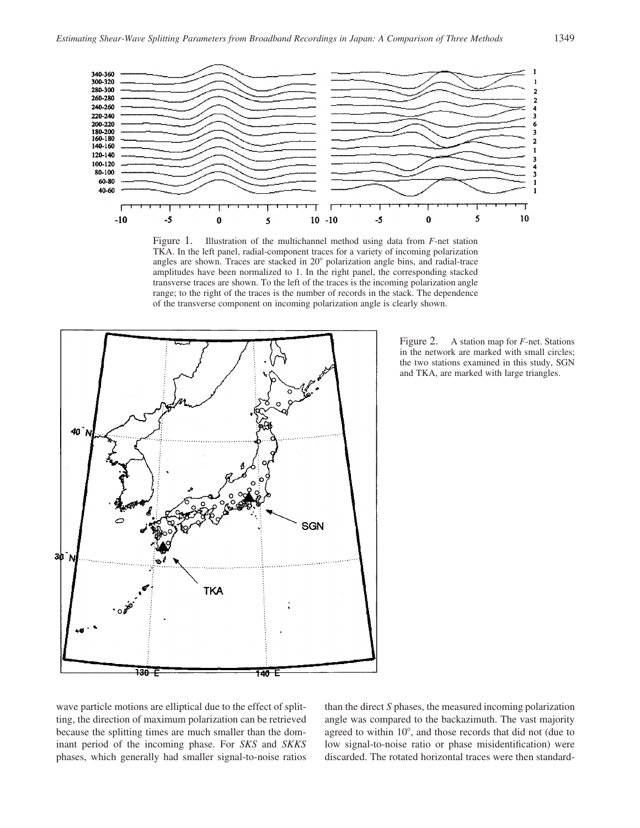

Figure 1. Illustration of the multichannel method using data from *F*-net station TKA. In the left panel, radial-component traces for a variety of incoming polarization angles are shown. Traces are stacked in  $20^{\circ}$  polarization angle bins, and radial-trace amplitudes have been normalized to 1. In the right panel, the corresponding stacked transverse traces are shown. To the left of the traces is the incoming polarization angle range; to the right of the traces is the number of records in the stack. The dependence of the transverse component on incoming polarization angle is clearly shown.



Figure 2. A station map for *F*-net. Stations in the network are marked with small circles; the two stations examined in this study, SGN and TKA, are marked with large triangles.

wave particle motions are elliptical due to the effect of splitting, the direction of maximum polarization can be retrieved because the splitting times are much smaller than the dominant period of the incoming phase. For *SKS* and *SKKS* phases, which generally had smaller signal-to-noise ratios than the direct *S* phases, the measured incoming polarization angle was compared to the backazimuth. The vast majority agreed to within  $10^{\circ}$ , and those records that did not (due to low signal-to-noise ratio or phase misidentification) were discarded. The rotated horizontal traces were then standard-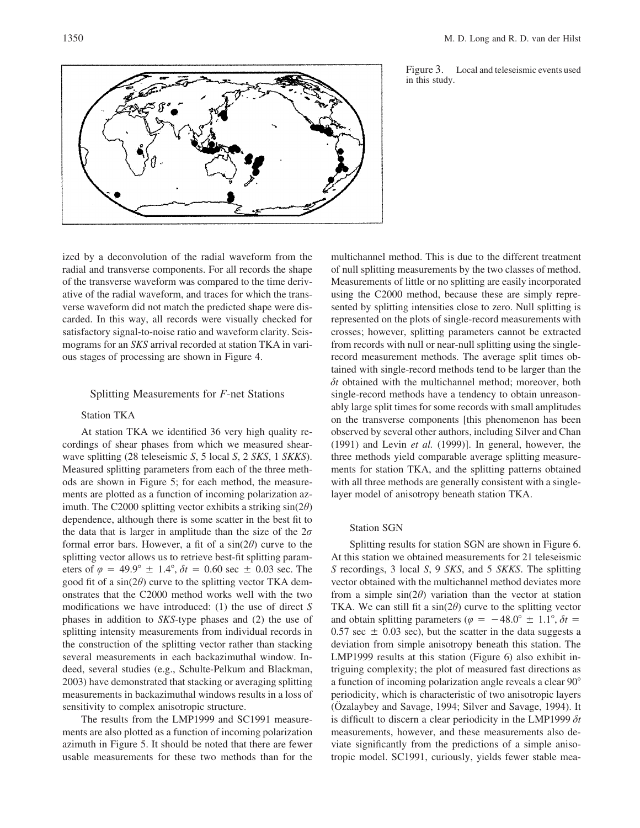



ized by a deconvolution of the radial waveform from the radial and transverse components. For all records the shape of the transverse waveform was compared to the time derivative of the radial waveform, and traces for which the transverse waveform did not match the predicted shape were discarded. In this way, all records were visually checked for satisfactory signal-to-noise ratio and waveform clarity. Seismograms for an *SKS* arrival recorded at station TKA in various stages of processing are shown in Figure 4.

## Splitting Measurements for *F*-net Stations

# Station TKA

At station TKA we identified 36 very high quality recordings of shear phases from which we measured shearwave splitting (28 teleseismic *S*, 5 local *S*, 2 *SKS*, 1 *SKKS*). Measured splitting parameters from each of the three methods are shown in Figure 5; for each method, the measurements are plotted as a function of incoming polarization azimuth. The C2000 splitting vector exhibits a striking sin(2*h*) dependence, although there is some scatter in the best fit to the data that is larger in amplitude than the size of the  $2\sigma$ formal error bars. However, a fit of a  $sin(2\theta)$  curve to the splitting vector allows us to retrieve best-fit splitting parameters of  $\varphi = 49.9^{\circ} \pm 1.4^{\circ}$ ,  $\delta t = 0.60$  sec  $\pm 0.03$  sec. The good fit of a  $sin(2\theta)$  curve to the splitting vector TKA demonstrates that the C2000 method works well with the two modifications we have introduced: (1) the use of direct *S* phases in addition to *SKS*-type phases and (2) the use of splitting intensity measurements from individual records in the construction of the splitting vector rather than stacking several measurements in each backazimuthal window. Indeed, several studies (e.g., Schulte-Pelkum and Blackman, 2003) have demonstrated that stacking or averaging splitting measurements in backazimuthal windows results in a loss of sensitivity to complex anisotropic structure.

The results from the LMP1999 and SC1991 measurements are also plotted as a function of incoming polarization azimuth in Figure 5. It should be noted that there are fewer usable measurements for these two methods than for the multichannel method. This is due to the different treatment of null splitting measurements by the two classes of method. Measurements of little or no splitting are easily incorporated using the C2000 method, because these are simply represented by splitting intensities close to zero. Null splitting is represented on the plots of single-record measurements with crosses; however, splitting parameters cannot be extracted from records with null or near-null splitting using the singlerecord measurement methods. The average split times obtained with single-record methods tend to be larger than the  $\delta t$  obtained with the multichannel method; moreover, both single-record methods have a tendency to obtain unreasonably large split times for some records with small amplitudes on the transverse components [this phenomenon has been observed by several other authors, including Silver and Chan (1991) and Levin *et al.* (1999)]. In general, however, the three methods yield comparable average splitting measurements for station TKA, and the splitting patterns obtained with all three methods are generally consistent with a singlelayer model of anisotropy beneath station TKA.

#### Station SGN

Splitting results for station SGN are shown in Figure 6. At this station we obtained measurements for 21 teleseismic *S* recordings, 3 local *S*, 9 *SKS*, and 5 *SKKS*. The splitting vector obtained with the multichannel method deviates more from a simple  $sin(2\theta)$  variation than the vector at station TKA. We can still fit a  $sin(2\theta)$  curve to the splitting vector and obtain splitting parameters ( $\varphi = -48.0^{\circ} \pm 1.1^{\circ}$ ,  $\delta t =$  $0.57$  sec  $\pm$  0.03 sec), but the scatter in the data suggests a deviation from simple anisotropy beneath this station. The LMP1999 results at this station (Figure 6) also exhibit intriguing complexity; the plot of measured fast directions as a function of incoming polarization angle reveals a clear 90 periodicity, which is characteristic of two anisotropic layers (Özalaybey and Savage, 1994; Silver and Savage, 1994). It is difficult to discern a clear periodicity in the LMP1999 *dt* measurements, however, and these measurements also deviate significantly from the predictions of a simple anisotropic model. SC1991, curiously, yields fewer stable mea-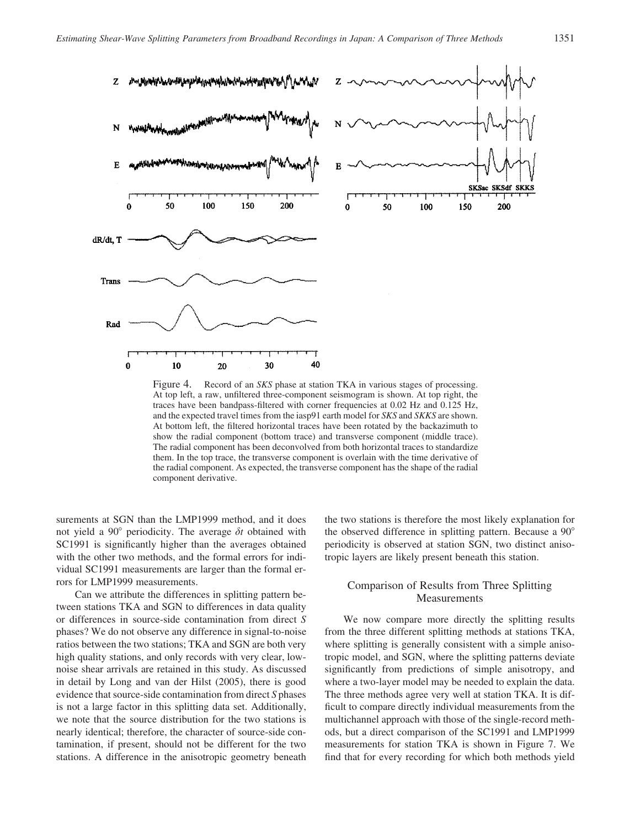

Figure 4. Record of an *SKS* phase at station TKA in various stages of processing. At top left, a raw, unfiltered three-component seismogram is shown. At top right, the traces have been bandpass-filtered with corner frequencies at 0.02 Hz and 0.125 Hz, and the expected travel times from the iasp91 earth model for *SKS* and *SKKS* are shown. At bottom left, the filtered horizontal traces have been rotated by the backazimuth to show the radial component (bottom trace) and transverse component (middle trace). The radial component has been deconvolved from both horizontal traces to standardize them. In the top trace, the transverse component is overlain with the time derivative of the radial component. As expected, the transverse component has the shape of the radial component derivative.

surements at SGN than the LMP1999 method, and it does not yield a 90 $^{\circ}$  periodicity. The average  $\delta t$  obtained with SC1991 is significantly higher than the averages obtained with the other two methods, and the formal errors for individual SC1991 measurements are larger than the formal errors for LMP1999 measurements.

Can we attribute the differences in splitting pattern between stations TKA and SGN to differences in data quality or differences in source-side contamination from direct *S* phases? We do not observe any difference in signal-to-noise ratios between the two stations; TKA and SGN are both very high quality stations, and only records with very clear, lownoise shear arrivals are retained in this study. As discussed in detail by Long and van der Hilst (2005), there is good evidence that source-side contamination from direct *S* phases is not a large factor in this splitting data set. Additionally, we note that the source distribution for the two stations is nearly identical; therefore, the character of source-side contamination, if present, should not be different for the two stations. A difference in the anisotropic geometry beneath the two stations is therefore the most likely explanation for the observed difference in splitting pattern. Because a 90 periodicity is observed at station SGN, two distinct anisotropic layers are likely present beneath this station.

# Comparison of Results from Three Splitting Measurements

We now compare more directly the splitting results from the three different splitting methods at stations TKA, where splitting is generally consistent with a simple anisotropic model, and SGN, where the splitting patterns deviate significantly from predictions of simple anisotropy, and where a two-layer model may be needed to explain the data. The three methods agree very well at station TKA. It is difficult to compare directly individual measurements from the multichannel approach with those of the single-record methods, but a direct comparison of the SC1991 and LMP1999 measurements for station TKA is shown in Figure 7. We find that for every recording for which both methods yield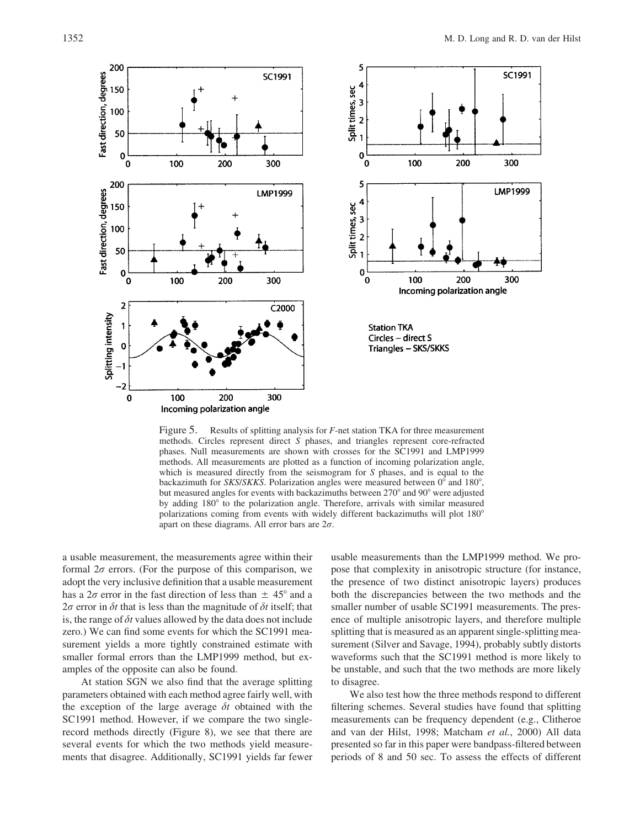

Figure 5. Results of splitting analysis for *F*-net station TKA for three measurement methods. Circles represent direct *S* phases, and triangles represent core-refracted phases. Null measurements are shown with crosses for the SC1991 and LMP1999 methods. All measurements are plotted as a function of incoming polarization angle, which is measured directly from the seismogram for *S* phases, and is equal to the backazimuth for *SKS/SKKS*. Polarization angles were measured between 0° and 180°, but measured angles for events with backazimuths between 270° and 90° were adjusted by adding 180° to the polarization angle. Therefore, arrivals with similar measured polarizations coming from events with widely different backazimuths will plot 180 apart on these diagrams. All error bars are 2*r*.

a usable measurement, the measurements agree within their formal  $2\sigma$  errors. (For the purpose of this comparison, we adopt the very inclusive definition that a usable measurement has a  $2\sigma$  error in the fast direction of less than  $\pm$  45<sup>°</sup> and a  $2\sigma$  error in  $\delta t$  that is less than the magnitude of  $\delta t$  itself; that is, the range of  $\delta t$  values allowed by the data does not include zero.) We can find some events for which the SC1991 measurement yields a more tightly constrained estimate with smaller formal errors than the LMP1999 method, but examples of the opposite can also be found.

At station SGN we also find that the average splitting parameters obtained with each method agree fairly well, with the exception of the large average  $\delta t$  obtained with the SC1991 method. However, if we compare the two singlerecord methods directly (Figure 8), we see that there are several events for which the two methods yield measurements that disagree. Additionally, SC1991 yields far fewer

usable measurements than the LMP1999 method. We propose that complexity in anisotropic structure (for instance, the presence of two distinct anisotropic layers) produces both the discrepancies between the two methods and the smaller number of usable SC1991 measurements. The presence of multiple anisotropic layers, and therefore multiple splitting that is measured as an apparent single-splitting measurement (Silver and Savage, 1994), probably subtly distorts waveforms such that the SC1991 method is more likely to be unstable, and such that the two methods are more likely to disagree.

We also test how the three methods respond to different filtering schemes. Several studies have found that splitting measurements can be frequency dependent (e.g., Clitheroe and van der Hilst, 1998; Matcham *et al.*, 2000) All data presented so far in this paper were bandpass-filtered between periods of 8 and 50 sec. To assess the effects of different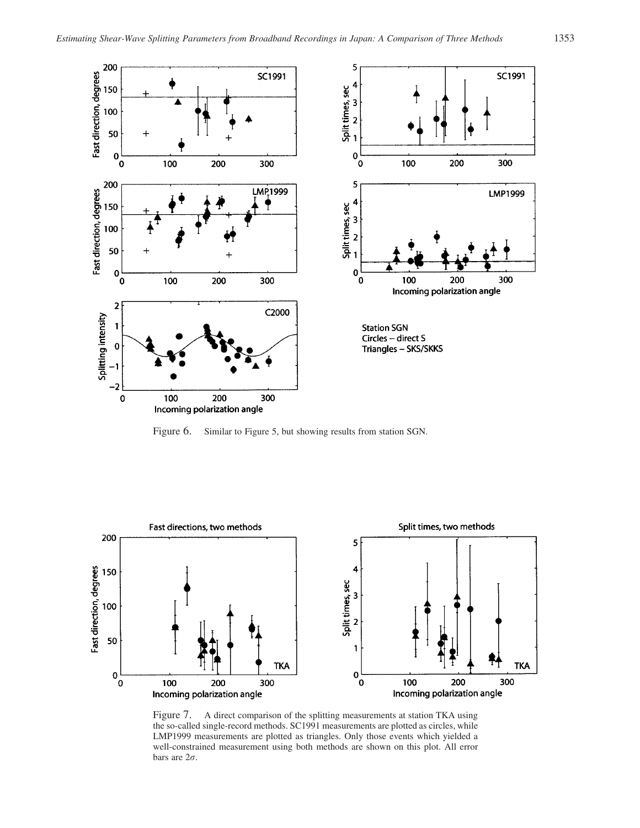

Figure 6. Similar to Figure 5, but showing results from station SGN.



Figure 7. A direct comparison of the splitting measurements at station TKA using the so-called single-record methods. SC1991 measurements are plotted as circles, while LMP1999 measurements are plotted as triangles. Only those events which yielded a well-constrained measurement using both methods are shown on this plot. All error bars are 2*r*.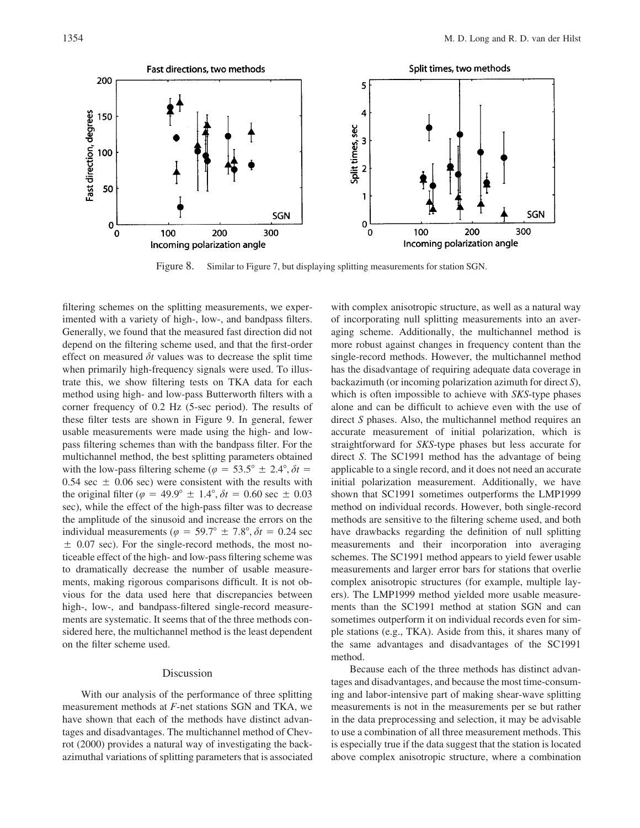

Figure 8. Similar to Figure 7, but displaying splitting measurements for station SGN.

filtering schemes on the splitting measurements, we experimented with a variety of high-, low-, and bandpass filters. Generally, we found that the measured fast direction did not depend on the filtering scheme used, and that the first-order effect on measured  $\delta t$  values was to decrease the split time when primarily high-frequency signals were used. To illustrate this, we show filtering tests on TKA data for each method using high- and low-pass Butterworth filters with a corner frequency of 0.2 Hz (5-sec period). The results of these filter tests are shown in Figure 9. In general, fewer usable measurements were made using the high- and lowpass filtering schemes than with the bandpass filter. For the multichannel method, the best splitting parameters obtained with the low-pass filtering scheme ( $\varphi = 53.5^{\circ} \pm 2.4^{\circ}, \delta t =$ 0.54 sec  $\pm$  0.06 sec) were consistent with the results with the original filter ( $\varphi = 49.9^{\circ} \pm 1.4^{\circ}$ ,  $\delta t = 0.60$  sec  $\pm 0.03$ sec), while the effect of the high-pass filter was to decrease the amplitude of the sinusoid and increase the errors on the individual measurements ( $\varphi = 59.7^{\circ} \pm 7.8^{\circ}, \delta t = 0.24$  sec  $\pm$  0.07 sec). For the single-record methods, the most noticeable effect of the high- and low-pass filtering scheme was to dramatically decrease the number of usable measurements, making rigorous comparisons difficult. It is not obvious for the data used here that discrepancies between high-, low-, and bandpass-filtered single-record measurements are systematic. It seems that of the three methods considered here, the multichannel method is the least dependent on the filter scheme used.

# Discussion

With our analysis of the performance of three splitting measurement methods at *F*-net stations SGN and TKA, we have shown that each of the methods have distinct advantages and disadvantages. The multichannel method of Chevrot (2000) provides a natural way of investigating the backazimuthal variations of splitting parameters that is associated with complex anisotropic structure, as well as a natural way of incorporating null splitting measurements into an averaging scheme. Additionally, the multichannel method is more robust against changes in frequency content than the single-record methods. However, the multichannel method has the disadvantage of requiring adequate data coverage in backazimuth (or incoming polarization azimuth for direct *S*), which is often impossible to achieve with *SKS*-type phases alone and can be difficult to achieve even with the use of direct *S* phases. Also, the multichannel method requires an accurate measurement of initial polarization, which is straightforward for *SKS*-type phases but less accurate for direct *S*. The SC1991 method has the advantage of being applicable to a single record, and it does not need an accurate initial polarization measurement. Additionally, we have shown that SC1991 sometimes outperforms the LMP1999 method on individual records. However, both single-record methods are sensitive to the filtering scheme used, and both have drawbacks regarding the definition of null splitting measurements and their incorporation into averaging schemes. The SC1991 method appears to yield fewer usable measurements and larger error bars for stations that overlie complex anisotropic structures (for example, multiple layers). The LMP1999 method yielded more usable measurements than the SC1991 method at station SGN and can sometimes outperform it on individual records even for simple stations (e.g., TKA). Aside from this, it shares many of the same advantages and disadvantages of the SC1991 method.

Because each of the three methods has distinct advantages and disadvantages, and because the most time-consuming and labor-intensive part of making shear-wave splitting measurements is not in the measurements per se but rather in the data preprocessing and selection, it may be advisable to use a combination of all three measurement methods. This is especially true if the data suggest that the station is located above complex anisotropic structure, where a combination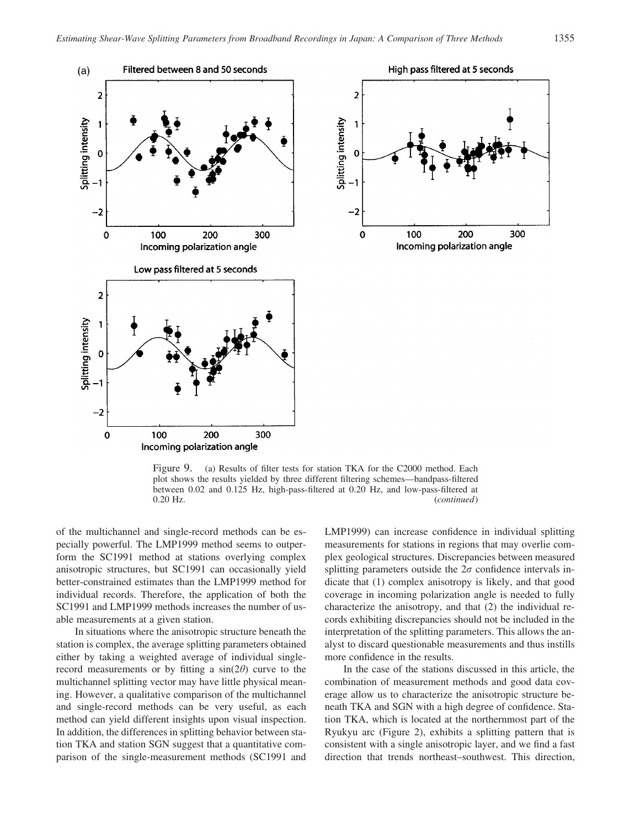



Figure 9. (a) Results of filter tests for station TKA for the C2000 method. Each plot shows the results yielded by three different filtering schemes—bandpass-filtered between 0.02 and 0.125 Hz, high-pass-filtered at 0.20 Hz, and low-pass-filtered at 0.20 Hz. (*continued*)

of the multichannel and single-record methods can be especially powerful. The LMP1999 method seems to outperform the SC1991 method at stations overlying complex anisotropic structures, but SC1991 can occasionally yield better-constrained estimates than the LMP1999 method for individual records. Therefore, the application of both the SC1991 and LMP1999 methods increases the number of usable measurements at a given station.

In situations where the anisotropic structure beneath the station is complex, the average splitting parameters obtained either by taking a weighted average of individual singlerecord measurements or by fitting a  $sin(2\theta)$  curve to the multichannel splitting vector may have little physical meaning. However, a qualitative comparison of the multichannel and single-record methods can be very useful, as each method can yield different insights upon visual inspection. In addition, the differences in splitting behavior between station TKA and station SGN suggest that a quantitative comparison of the single-measurement methods (SC1991 and LMP1999) can increase confidence in individual splitting measurements for stations in regions that may overlie complex geological structures. Discrepancies between measured splitting parameters outside the  $2\sigma$  confidence intervals indicate that (1) complex anisotropy is likely, and that good coverage in incoming polarization angle is needed to fully characterize the anisotropy, and that (2) the individual records exhibiting discrepancies should not be included in the interpretation of the splitting parameters. This allows the analyst to discard questionable measurements and thus instills more confidence in the results.

In the case of the stations discussed in this article, the combination of measurement methods and good data coverage allow us to characterize the anisotropic structure beneath TKA and SGN with a high degree of confidence. Station TKA, which is located at the northernmost part of the Ryukyu arc (Figure 2), exhibits a splitting pattern that is consistent with a single anisotropic layer, and we find a fast direction that trends northeast–southwest. This direction,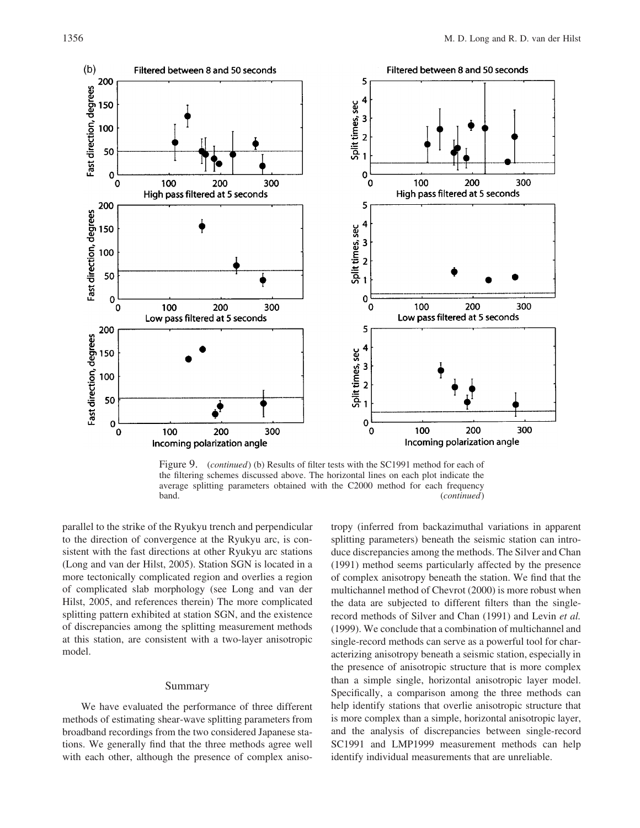

Figure 9. (*continued*) (b) Results of filter tests with the SC1991 method for each of the filtering schemes discussed above. The horizontal lines on each plot indicate the average splitting parameters obtained with the C2000 method for each frequency band. (*continued*)

parallel to the strike of the Ryukyu trench and perpendicular to the direction of convergence at the Ryukyu arc, is consistent with the fast directions at other Ryukyu arc stations (Long and van der Hilst, 2005). Station SGN is located in a more tectonically complicated region and overlies a region of complicated slab morphology (see Long and van der Hilst, 2005, and references therein) The more complicated splitting pattern exhibited at station SGN, and the existence of discrepancies among the splitting measurement methods at this station, are consistent with a two-layer anisotropic model.

#### Summary

We have evaluated the performance of three different methods of estimating shear-wave splitting parameters from broadband recordings from the two considered Japanese stations. We generally find that the three methods agree well with each other, although the presence of complex anisotropy (inferred from backazimuthal variations in apparent splitting parameters) beneath the seismic station can introduce discrepancies among the methods. The Silver and Chan (1991) method seems particularly affected by the presence of complex anisotropy beneath the station. We find that the multichannel method of Chevrot (2000) is more robust when the data are subjected to different filters than the singlerecord methods of Silver and Chan (1991) and Levin *et al.* (1999). We conclude that a combination of multichannel and single-record methods can serve as a powerful tool for characterizing anisotropy beneath a seismic station, especially in the presence of anisotropic structure that is more complex than a simple single, horizontal anisotropic layer model. Specifically, a comparison among the three methods can help identify stations that overlie anisotropic structure that is more complex than a simple, horizontal anisotropic layer, and the analysis of discrepancies between single-record SC1991 and LMP1999 measurement methods can help identify individual measurements that are unreliable.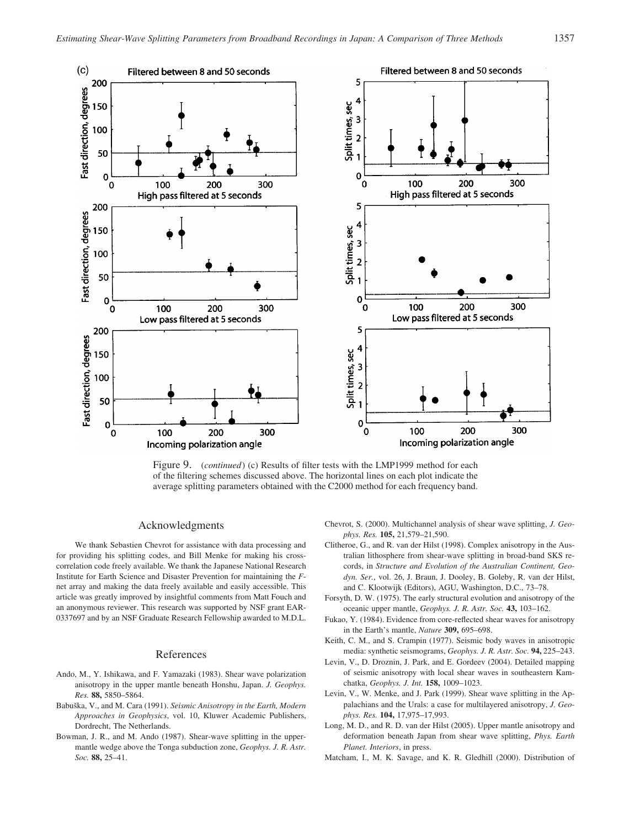

Figure 9. (*continued*) (c) Results of filter tests with the LMP1999 method for each of the filtering schemes discussed above. The horizontal lines on each plot indicate the average splitting parameters obtained with the C2000 method for each frequency band.

# Acknowledgments

We thank Sebastien Chevrot for assistance with data processing and for providing his splitting codes, and Bill Menke for making his crosscorrelation code freely available. We thank the Japanese National Research Institute for Earth Science and Disaster Prevention for maintaining the *F*net array and making the data freely available and easily accessible. This article was greatly improved by insightful comments from Matt Fouch and an anonymous reviewer. This research was supported by NSF grant EAR-0337697 and by an NSF Graduate Research Fellowship awarded to M.D.L.

# References

- Ando, M., Y. Ishikawa, and F. Yamazaki (1983). Shear wave polarization anisotropy in the upper mantle beneath Honshu, Japan. *J. Geophys. Res.* **88,** 5850–5864.
- Babuška, V., and M. Cara (1991). *Seismic Anisotropy in the Earth, Modern Approaches in Geophysics*, vol. 10, Kluwer Academic Publishers, Dordrecht, The Netherlands.
- Bowman, J. R., and M. Ando (1987). Shear-wave splitting in the uppermantle wedge above the Tonga subduction zone, *Geophys. J. R. Astr. Soc.* **88,** 25–41.
- Chevrot, S. (2000). Multichannel analysis of shear wave splitting, *J. Geophys. Res.* **105,** 21,579–21,590.
- Clitheroe, G., and R. van der Hilst (1998). Complex anisotropy in the Australian lithosphere from shear-wave splitting in broad-band SKS records, in *Structure and Evolution of the Australian Continent, Geodyn. Ser.*, vol. 26, J. Braun, J. Dooley, B. Goleby, R. van der Hilst, and C. Klootwijk (Editors), AGU, Washington, D.C., 73–78.
- Forsyth, D. W. (1975). The early structural evolution and anisotropy of the oceanic upper mantle, *Geophys. J. R. Astr. Soc.* **43,** 103–162.
- Fukao, Y. (1984). Evidence from core-reflected shear waves for anisotropy in the Earth's mantle, *Nature* **309,** 695–698.
- Keith, C. M., and S. Crampin (1977). Seismic body waves in anisotropic media: synthetic seismograms, *Geophys. J. R. Astr. Soc.* **94,** 225–243.
- Levin, V., D. Droznin, J. Park, and E. Gordeev (2004). Detailed mapping of seismic anisotropy with local shear waves in southeastern Kamchatka, *Geophys. J. Int.* **158,** 1009–1023.
- Levin, V., W. Menke, and J. Park (1999). Shear wave splitting in the Appalachians and the Urals: a case for multilayered anisotropy, *J. Geophys. Res.* **104,** 17,975–17,993.
- Long, M. D., and R. D. van der Hilst (2005). Upper mantle anisotropy and deformation beneath Japan from shear wave splitting, *Phys. Earth Planet. Interiors*, in press.
- Matcham, I., M. K. Savage, and K. R. Gledhill (2000). Distribution of